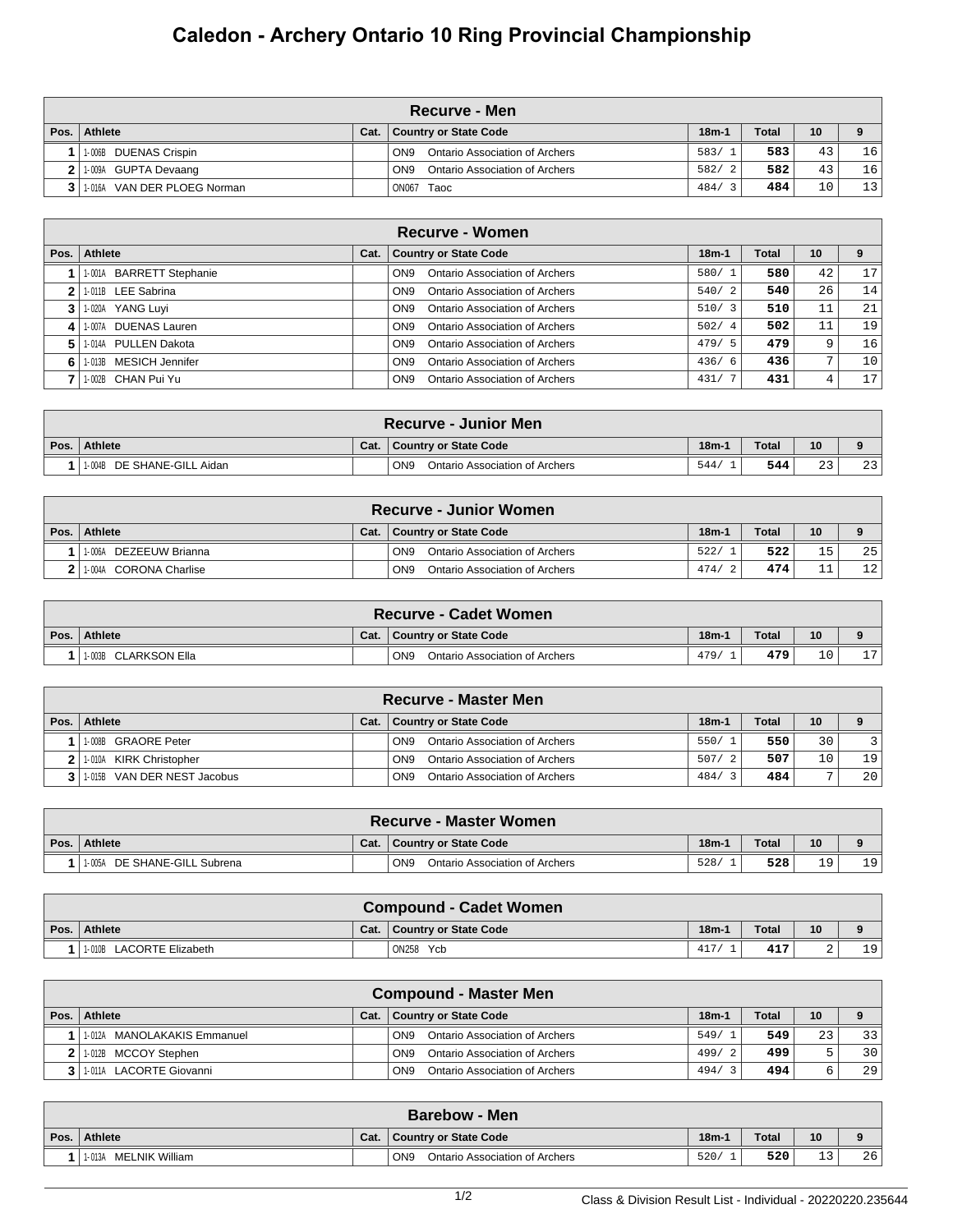## **Caledon - Archery Ontario 10 Ring Provincial Championship**

|      | ∖Recurve - Men                |      |                                                   |         |              |    |    |  |  |  |  |
|------|-------------------------------|------|---------------------------------------------------|---------|--------------|----|----|--|--|--|--|
| Pos. | <b>Athlete</b>                | Cat. | <b>Country or State Code</b>                      | $18m-1$ | <b>Total</b> | 10 |    |  |  |  |  |
|      | 1-006B DUENAS Crispin         |      | Ontario Association of Archers<br>ON <sub>9</sub> | 583/1   | 583          | 43 | 16 |  |  |  |  |
|      | 2 1.009A GUPTA Devaang        |      | Ontario Association of Archers<br>ON <sub>9</sub> | 582/2   | 582          | 43 | 16 |  |  |  |  |
|      | 3 1.016A VAN DER PLOEG Norman |      | ON067 Taoc                                        | 484/3   | 484          | 10 | 13 |  |  |  |  |

|      | Recurve - Women          |      |                                                          |         |       |                |                 |  |  |  |  |  |
|------|--------------------------|------|----------------------------------------------------------|---------|-------|----------------|-----------------|--|--|--|--|--|
| Pos. | Athlete                  | Cat. | <b>Country or State Code</b>                             | $18m-1$ | Total | 10             |                 |  |  |  |  |  |
|      | 1-001A BARRETT Stephanie |      | <b>Ontario Association of Archers</b><br>ON <sub>9</sub> | 580/1   | 580   | 42             | 17              |  |  |  |  |  |
|      | 1-011B LEE Sabrina       |      | Ontario Association of Archers<br>ON <sub>9</sub>        | 540/2   | 540   | 26             | 14              |  |  |  |  |  |
|      | 1-020A YANG Luyi         |      | Ontario Association of Archers<br>ON <sub>9</sub>        | 510/3   | 510   | 11             | 21              |  |  |  |  |  |
| 4    | 1-007A DUENAS Lauren     |      | Ontario Association of Archers<br>ON <sub>9</sub>        | 502/4   | 502   |                | 19              |  |  |  |  |  |
|      | 1-014A PULLEN Dakota     |      | <b>Ontario Association of Archers</b><br>ON <sub>9</sub> | 479/5   | 479   | 9              | 16              |  |  |  |  |  |
| 6 I  | 1-013B MESICH Jennifer   |      | Ontario Association of Archers<br>ON <sub>9</sub>        | 436/6   | 436   | $\overline{ }$ | 10 <sup>°</sup> |  |  |  |  |  |
|      | 1-002B CHAN Pui Yu       |      | <b>Ontario Association of Archers</b><br>ON <sub>9</sub> | 431/7   | 431   | 4              | 17              |  |  |  |  |  |

| <b>Recurve - Junior Men</b> |      |                                                   |         |       |                |    |  |  |  |  |
|-----------------------------|------|---------------------------------------------------|---------|-------|----------------|----|--|--|--|--|
| Pos. Athlete                | Cat. | <b>Country or State Code</b>                      | $18m-1$ | Total | 10             |    |  |  |  |  |
| 1-004B DE SHANE-GILL Aidan  |      | ON <sub>9</sub><br>Ontario Association of Archers | 544/    | 544   | $\cap$<br>ت ہے | 23 |  |  |  |  |

| <b>Recurve - Junior Women</b> |      |                                                   |         |              |     |                 |  |  |  |  |
|-------------------------------|------|---------------------------------------------------|---------|--------------|-----|-----------------|--|--|--|--|
| Pos. Athlete                  | Cat. | <b>Country or State Code</b>                      | $18m-1$ | <b>Total</b> | 10  |                 |  |  |  |  |
| 1-006A<br>DEZEEUW Brianna     |      | Ontario Association of Archers<br>ON <sub>9</sub> | 522/    | 522          | 15  | 25              |  |  |  |  |
| 1-004A CORONA Charlise        |      | ON <sub>9</sub><br>Ontario Association of Archers | 474/    | 474          | - - | 12 <sub>1</sub> |  |  |  |  |

|      | ∖ Recurve - Cadet Women I |      |                                                   |         |       |                |                |  |  |  |  |
|------|---------------------------|------|---------------------------------------------------|---------|-------|----------------|----------------|--|--|--|--|
| Pos. | Athlete                   | Cat. | Country or State Code                             | $18m-1$ | Total | 10             |                |  |  |  |  |
|      | 1003B CLARKSON Ella       |      | ON <sub>9</sub><br>Ontario Association of Archers | 479     | 479   | 1 <sub>0</sub> | $\overline{ }$ |  |  |  |  |

|      | <b>Recurve - Master Men</b> |      |                                                   |         |              |                 |    |  |  |  |  |
|------|-----------------------------|------|---------------------------------------------------|---------|--------------|-----------------|----|--|--|--|--|
| Pos. | Athlete                     | Cat. | Country or State Code                             | $18m-1$ | <b>Total</b> | 10              |    |  |  |  |  |
|      | 1-008B GRAORE Peter         |      | Ontario Association of Archers<br>ON <sub>9</sub> | 550/1   | 550          | 30              |    |  |  |  |  |
|      | 2 1-010A KIRK Christopher   |      | Ontario Association of Archers<br>ON <sub>9</sub> | 507/2   | 507          | 10 <sub>1</sub> | 19 |  |  |  |  |
|      | 1-015B VAN DER NEST Jacobus |      | Ontario Association of Archers<br>ON <sub>9</sub> | 484/    | 484          | -               | 20 |  |  |  |  |

|      | <b>Recurve - Master Women</b> |      |                                                          |         |       |     |      |  |  |  |  |
|------|-------------------------------|------|----------------------------------------------------------|---------|-------|-----|------|--|--|--|--|
| Pos. | Athlete                       | Cat. | <b>Country or State Code</b>                             | $18m-1$ | Total | 10  |      |  |  |  |  |
|      | 1005A DE SHANE-GILL Subrena   |      | ON <sub>9</sub><br><b>Ontario Association of Archers</b> | 528.    | 528   | 19. | 1 Q. |  |  |  |  |

|      | <b>Compound - Cadet Women</b> |      |                              |         |       |    |    |  |  |  |  |
|------|-------------------------------|------|------------------------------|---------|-------|----|----|--|--|--|--|
| Pos. | Athlete                       | Cat. | <b>Country or State Code</b> | $18m-1$ | Total | 10 |    |  |  |  |  |
|      | 1-010B LACORTE Elizabeth      |      | ON258 Ycb                    |         | 417   |    | 19 |  |  |  |  |

| <b>Compound - Master Men</b> |      |                                                   |         |              |    |    |  |  |  |  |  |
|------------------------------|------|---------------------------------------------------|---------|--------------|----|----|--|--|--|--|--|
| Pos.   Athlete               | Cat. | Country or State Code                             | $18m-1$ | <b>Total</b> | 10 |    |  |  |  |  |  |
| 1-012A MANOLAKAKIS Emmanuel  |      | ON <sub>9</sub><br>Ontario Association of Archers | 549/    | 549          | 23 | 33 |  |  |  |  |  |
| 1-012B MCCOY Stephen         |      | ON <sub>9</sub><br>Ontario Association of Archers | 499/2   | 499          |    | 30 |  |  |  |  |  |
| 1-011A LACORTE Giovanni      |      | ON <sub>9</sub><br>Ontario Association of Archers | 494/3   | 494          | n  | 29 |  |  |  |  |  |

| ⊪Barebow - Men           |      |                                                   |         |              |                 |    |  |  |  |  |
|--------------------------|------|---------------------------------------------------|---------|--------------|-----------------|----|--|--|--|--|
| Pos. Athlete             | Cat. | <b>Country or State Code</b>                      | $18m-1$ | <b>Total</b> | 10              |    |  |  |  |  |
| MELNIK William<br>1-013A |      | ON <sub>9</sub><br>Ontario Association of Archers | 520/    | 520          | $\sim$ 0.1<br>ᅩ | 26 |  |  |  |  |